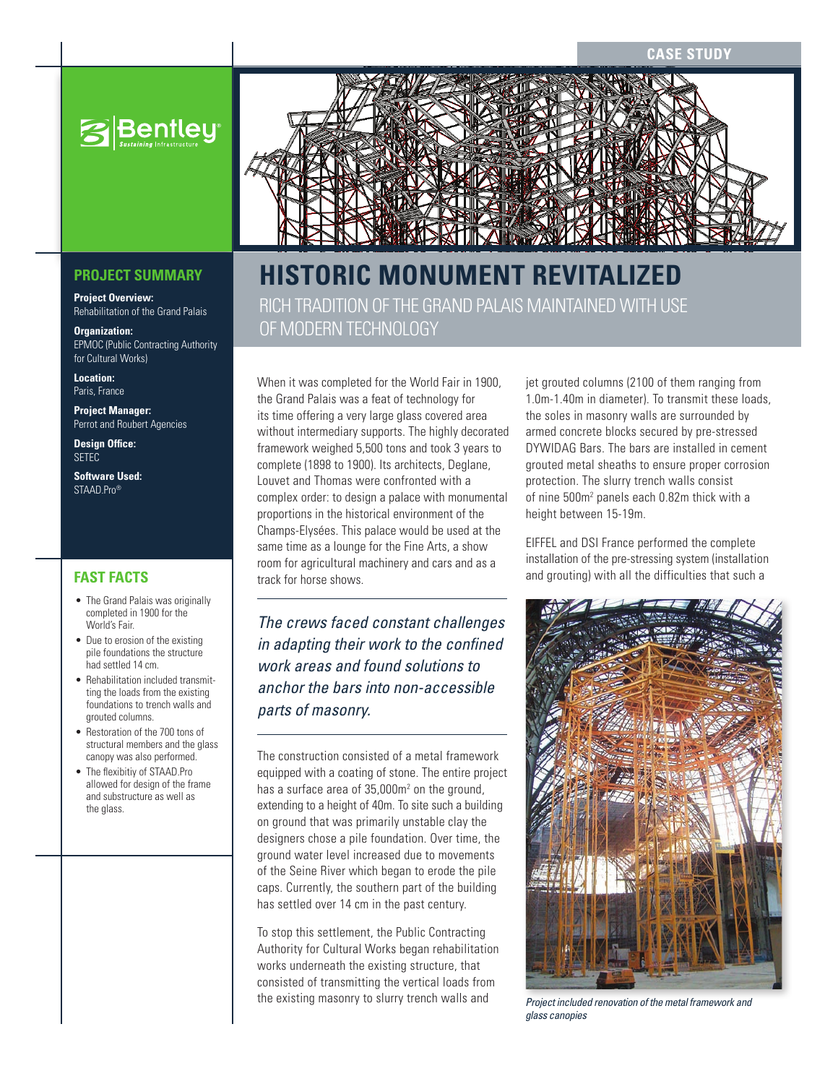**CASE STUDY**



## **PROJECT SUMMARY**

**Project Overview:**  Rehabilitation of the Grand Palais

**Organization:** EPMOC (Public Contracting Authority for Cultural Works)

**Location:**  Paris, France

**Project Manager:** Perrot and Roubert Agencies

**Design Office:** SETEC

**Software Used:**  STAAD.Pro<sup>®</sup>

- The Grand Palais was originally completed in 1900 for the World's Fair.
- Due to erosion of the existing pile foundations the structure had settled 14 cm.
- Rehabilitation included transmitting the loads from the existing foundations to trench walls and grouted columns.
- Restoration of the 700 tons of structural members and the glass canopy was also performed.
- The flexibitiy of STAAD.Pro allowed for design of the frame and substructure as well as the glass.



# **Hist oric Monume nt Re vita lized**

Rich tradition of the Grand Palais maintained with use of modern technology

When it was completed for the World Fair in 1900, the Grand Palais was a feat of technology for its time offering a very large glass covered area without intermediary supports. The highly decorated framework weighed 5,500 tons and took 3 years to complete (1898 to 1900). Its architects, Deglane, Louvet and Thomas were confronted with a complex order: to design a palace with monumental proportions in the historical environment of the Champs-Elysées. This palace would be used at the same time as a lounge for the Fine Arts, a show room for agricultural machinery and cars and as a track for horse shows. **FAST FACTS EXECUTS EXECUTS EXECUTS EXECUTS EXECUTS EXECUTS EXECUTS EXECUTS EXECUTS EXECUTS EXECUTS EXECUTS EXECUTS EXECUTS EXECUTS EXECUTS EXECUTS EXECUTS EXECUTS EXECUTS EXECUTS** 

> *The crews faced constant challenges in adapting their work to the confined work areas and found solutions to anchor the bars into non-accessible parts of masonry.*

> The construction consisted of a metal framework equipped with a coating of stone. The entire project has a surface area of 35,000m<sup>2</sup> on the ground, extending to a height of 40m. To site such a building on ground that was primarily unstable clay the designers chose a pile foundation. Over time, the ground water level increased due to movements of the Seine River which began to erode the pile caps. Currently, the southern part of the building has settled over 14 cm in the past century.

To stop this settlement, the Public Contracting Authority for Cultural Works began rehabilitation works underneath the existing structure, that consisted of transmitting the vertical loads from the existing masonry to slurry trench walls and

jet grouted columns (2100 of them ranging from 1.0m-1.40m in diameter). To transmit these loads, the soles in masonry walls are surrounded by armed concrete blocks secured by pre-stressed DYWIDAG Bars. The bars are installed in cement grouted metal sheaths to ensure proper corrosion protection. The slurry trench walls consist of nine 500m<sup>2</sup> panels each 0.82m thick with a height between 15-19m.

EIFFEL and DSI France performed the complete installation of the pre-stressing system (installation



*Project included renovation of the metal framework and glass canopies*